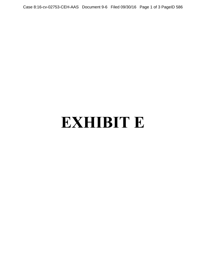Case 8:16-cv-02753-CEH-AAS Document 9-6 Filed 09/30/16 Page 1 of 3 PageID 586

## **EXHIBIT E**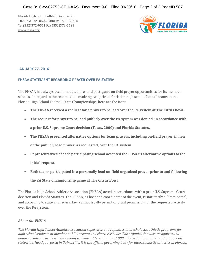Florida High School Athletic Association 1801 NW 80th Blvd., Gainesville, FL 32606 Tel (352)372-9551 Fax (352)373-1528 [www.fhsaa.org](http://www.fhsaa.org/)



## **JANUARY 27, 2016**

## **FHSAA STATEMENT REGARDING PRAYER OVER PA SYSTEM**

The FHSAA has always accommodated pre- and post-game on-field prayer opportunities for its member schools. In regard to the recent issue involving two private Christian high school football teams at the Florida High School Football State Championships, here are the facts:

- **The FHSAA received a request for a prayer to be lead over the PA system at The Citrus Bowl.**
- **The request for prayer to be lead publicly over the PA system was denied, in accordance with a prior U.S. Supreme Court decision (Texas, 2000) and Florida Statutes.**
- **The FHSAA presented alternative options for team prayers, including on-field prayer, in lieu of the publicly lead prayer, as requested, over the PA system.**
- **Representatives of each participating school accepted the FHSAA's alternative options to the initial request.**
- **Both teams participated in a personally lead on-field organized prayer prior to and following**

**the 2A State Championship game at The Citrus Bowl.**

The Florida High School Athletic Association (FHSAA) acted in accordance with a prior U.S. Supreme Court decision and Florida Statutes. The FHSAA, as host and coordinator of the event, is statutorily a "State Actor", and according to state and federal law, cannot legally permit or grant permission for the requested activity over the PA system.

## *About the FHSAA*

*The Florida High School Athletic Association supervises and regulates interscholastic athletic programs for high school students at member public, private and charter schools. The organization also recognizes and honors academic achievement among student-athletes at almost 800 middle, junior and senior high schools statewide. Headquartered in Gainesville, it is the official governing body for interscholastic athletics in Florida.*